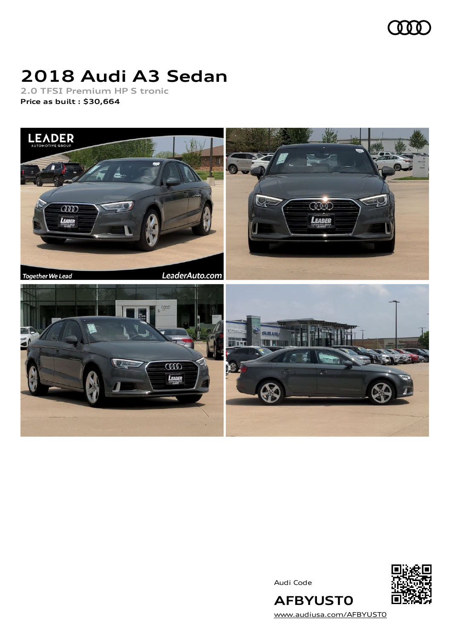

# **2018 Audi A3 Sedan**

**2.0 TFSI Premium HP S tronic Price as built [:](#page-10-0) \$30,664**



Audi Code



**AFBYUST0**

[www.audiusa.com/AFBYUST0](https://www.audiusa.com/AFBYUST0)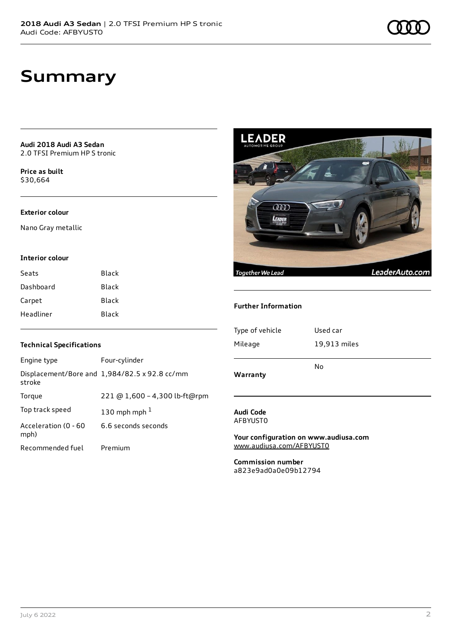**Audi 2018 Audi A3 Sedan** 2.0 TFSI Premium HP S tronic

**Price as buil[t](#page-10-0)** \$30,664

### **Exterior colour**

Nano Gray metallic

### **Interior colour**

| Seats     | Black        |
|-----------|--------------|
| Dashboard | Black        |
| Carpet    | <b>Black</b> |
| Headliner | Black        |



#### **Further Information**

| Warranty        |              |
|-----------------|--------------|
|                 | No           |
| Mileage         | 19,913 miles |
| Type of vehicle | Used car     |
|                 |              |

### **Audi Code** AFBYUST0

**Your configuration on www.audiusa.com** [www.audiusa.com/AFBYUST0](https://www.audiusa.com/AFBYUST0)

**Commission number** a823e9ad0a0e09b12794

## **Technical Specifications**

| Engine type                  | Four-cylinder                                 |
|------------------------------|-----------------------------------------------|
| stroke                       | Displacement/Bore and 1,984/82.5 x 92.8 cc/mm |
| Torque                       | 221 @ 1,600 - 4,300 lb-ft@rpm                 |
| Top track speed              | 130 mph mph $1$                               |
| Acceleration (0 - 60<br>mph) | 6.6 seconds seconds                           |
| Recommended fuel             | Premium                                       |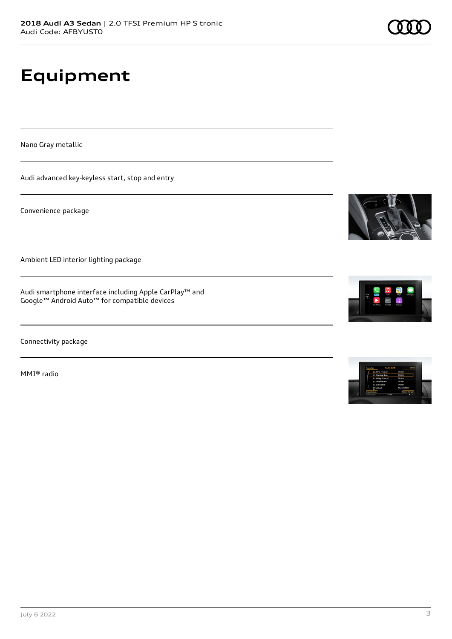# **Equipment**

Nano Gray metallic

Audi advanced key-keyless start, stop and entry

Convenience package

Ambient LED interior lighting package

Audi smartphone interface including Apple CarPlay™ and Google™ Android Auto™ for compatible devices

Connectivity package

MMI® radio







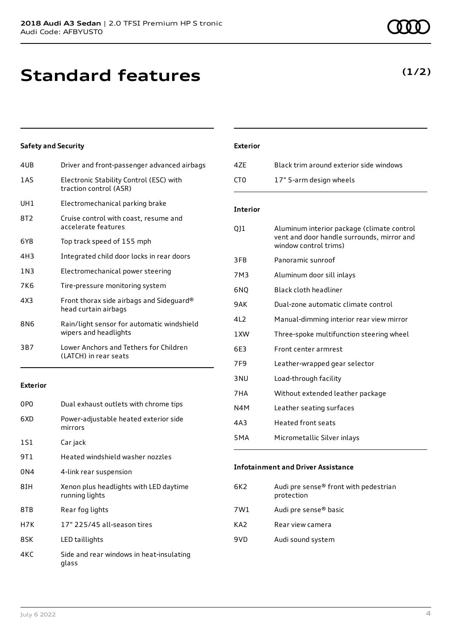## **Standard features**

## **Safety and Security**

| 4UB   | Driver and front-passenger advanced airbags                         |
|-------|---------------------------------------------------------------------|
| 1AS   | Electronic Stability Control (ESC) with<br>traction control (ASR)   |
| UH1   | Electromechanical parking brake                                     |
| 8T2   | Cruise control with coast, resume and<br>accelerate features        |
| 6Y8   | Top track speed of 155 mph                                          |
| 4H3   | Integrated child door locks in rear doors                           |
| 1 N 3 | Electromechanical power steering                                    |
| 7K6   | Tire-pressure monitoring system                                     |
| 4X3   | Front thorax side airbags and Sideguard®<br>head curtain airbags    |
| 8N6   | Rain/light sensor for automatic windshield<br>wipers and headlights |
| 3B7   | Lower Anchors and Tethers for Children<br>(LATCH) in rear seats     |
|       |                                                                     |

## **Exterior**

| 0P <sub>0</sub> | Dual exhaust outlets with chrome tips                    |
|-----------------|----------------------------------------------------------|
| 6XD             | Power-adjustable heated exterior side<br>mirrors         |
| 1S1             | Car jack                                                 |
| 9T 1            | Heated windshield washer nozzles                         |
| 0N4             | 4-link rear suspension                                   |
| 8IH             | Xenon plus headlights with LED daytime<br>running lights |
| 8TB             | Rear fog lights                                          |
| H7K             | 17" 225/45 all-season tires                              |
| 8SK             | LED taillights                                           |
| 4KC             | Side and rear windows in heat-insulating<br>glass        |

## **Exterior**

| 47F | Black trim around exterior side windows |
|-----|-----------------------------------------|
| CT0 | 17" 5-arm design wheels                 |

## **Interior**

| QJ1              | Aluminum interior package (climate control<br>vent and door handle surrounds, mirror and<br>window control trims) |
|------------------|-------------------------------------------------------------------------------------------------------------------|
| 3FB              | Panoramic sunroof                                                                                                 |
| 7M3              | Aluminum door sill inlays                                                                                         |
| 6NO              | Black cloth headliner                                                                                             |
| 9 A K            | Dual-zone automatic climate control                                                                               |
| 412              | Manual-dimming interior rear view mirror                                                                          |
| 1 XW             | Three-spoke multifunction steering wheel                                                                          |
| 6E3              | Front center armrest                                                                                              |
| 7F9              | Leather-wrapped gear selector                                                                                     |
| 3 NU             | Load-through facility                                                                                             |
| 7HA              | Without extended leather package                                                                                  |
| N4M              | Leather seating surfaces                                                                                          |
| 4A3              | <b>Heated front seats</b>                                                                                         |
| 5 <sub>M</sub> A | Micrometallic Silver inlays                                                                                       |
|                  |                                                                                                                   |

### **Infotainment and Driver Assistance**

| 6K2 | Audi pre sense® front with pedestrian<br>protection |
|-----|-----------------------------------------------------|
| 7W1 | Audi pre sense® basic                               |
| KA2 | Rear view camera                                    |
| 9VD | Audi sound system                                   |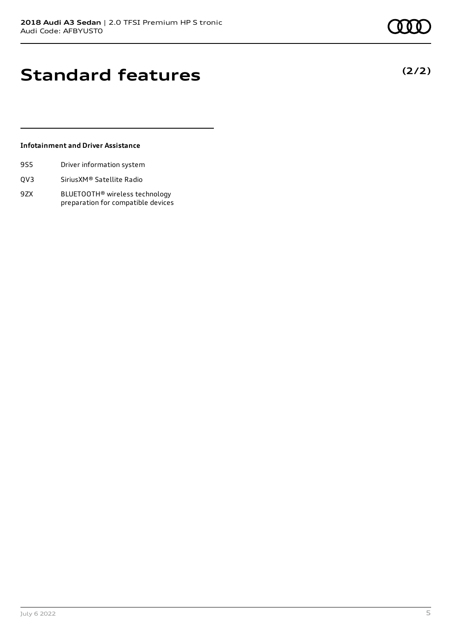**(2/2)**

## **Standard features**

## **Infotainment and Driver Assistance**

- 9S5 Driver information system
- QV3 SiriusXM® Satellite Radio
- 9ZX BLUETOOTH® wireless technology preparation for compatible devices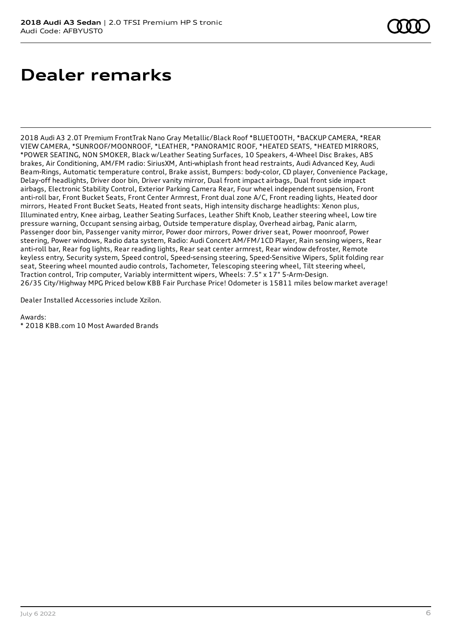## **Dealer remarks**

2018 Audi A3 2.0T Premium FrontTrak Nano Gray Metallic/Black Roof \*BLUETOOTH, \*BACKUP CAMERA, \*REAR VIEW CAMERA, \*SUNROOF/MOONROOF, \*LEATHER, \*PANORAMIC ROOF, \*HEATED SEATS, \*HEATED MIRRORS, \*POWER SEATING, NON SMOKER, Black w/Leather Seating Surfaces, 10 Speakers, 4-Wheel Disc Brakes, ABS brakes, Air Conditioning, AM/FM radio: SiriusXM, Anti-whiplash front head restraints, Audi Advanced Key, Audi Beam-Rings, Automatic temperature control, Brake assist, Bumpers: body-color, CD player, Convenience Package, Delay-off headlights, Driver door bin, Driver vanity mirror, Dual front impact airbags, Dual front side impact airbags, Electronic Stability Control, Exterior Parking Camera Rear, Four wheel independent suspension, Front anti-roll bar, Front Bucket Seats, Front Center Armrest, Front dual zone A/C, Front reading lights, Heated door mirrors, Heated Front Bucket Seats, Heated front seats, High intensity discharge headlights: Xenon plus, Illuminated entry, Knee airbag, Leather Seating Surfaces, Leather Shift Knob, Leather steering wheel, Low tire pressure warning, Occupant sensing airbag, Outside temperature display, Overhead airbag, Panic alarm, Passenger door bin, Passenger vanity mirror, Power door mirrors, Power driver seat, Power moonroof, Power steering, Power windows, Radio data system, Radio: Audi Concert AM/FM/1CD Player, Rain sensing wipers, Rear anti-roll bar, Rear fog lights, Rear reading lights, Rear seat center armrest, Rear window defroster, Remote keyless entry, Security system, Speed control, Speed-sensing steering, Speed-Sensitive Wipers, Split folding rear seat, Steering wheel mounted audio controls, Tachometer, Telescoping steering wheel, Tilt steering wheel, Traction control, Trip computer, Variably intermittent wipers, Wheels: 7.5" x 17" 5-Arm-Design. 26/35 City/Highway MPG Priced below KBB Fair Purchase Price! Odometer is 15811 miles below market average!

Dealer Installed Accessories include Xzilon.

Awards:

\* 2018 KBB.com 10 Most Awarded Brands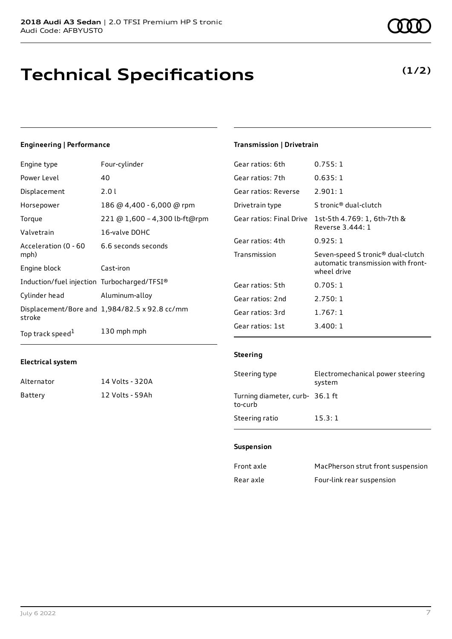## **Technical Specifications**

## Engine type Four-cylinder

**Engineering | Performance**

| Power Level                                 | 40                                            |
|---------------------------------------------|-----------------------------------------------|
| Displacement                                | 2.01                                          |
| Horsepower                                  | 186 @ 4,400 - 6,000 @ rpm                     |
| Torque                                      | 221 @ 1,600 - 4,300 lb-ft@rpm                 |
| Valvetrain                                  | 16-valve DOHC                                 |
| Acceleration (0 - 60<br>mph)                | 6.6 seconds seconds                           |
| Engine block                                | Cast-iron                                     |
| Induction/fuel injection Turbocharged/TFSI® |                                               |
| Cylinder head                               | Aluminum-alloy                                |
| stroke                                      | Displacement/Bore and 1,984/82.5 x 92.8 cc/mm |
| Top track speed <sup>1</sup>                | 130 mph mph                                   |

## **Transmission | Drivetrain**

| Gear ratios: 6th         | 0.755:1                                                                                |
|--------------------------|----------------------------------------------------------------------------------------|
| Gear ratios: 7th         | 0.635:1                                                                                |
| Gear ratios: Reverse     | 2.901:1                                                                                |
| Drivetrain type          | S tronic® dual-clutch                                                                  |
| Gear ratios: Final Drive | 1st-5th 4.769: 1, 6th-7th &<br>Reverse 3.444: 1                                        |
| Gear ratios: 4th         | 0.925:1                                                                                |
| Transmission             | Seven-speed S tronic® dual-clutch<br>automatic transmission with front-<br>wheel drive |
| Gear ratios: 5th         | 0.705:1                                                                                |
| Gear ratios: 2nd         | 2.750:1                                                                                |
| Gear ratios: 3rd         | 1.767:1                                                                                |
| Gear ratios: 1st         | 3.400:1                                                                                |

## **Electrical system**

| Alternator | 14 Volts - 320A |
|------------|-----------------|
| Battery    | 12 Volts - 59Ah |

## **Steering**

| Steering type                              | Electromechanical power steering<br>system |
|--------------------------------------------|--------------------------------------------|
| Turning diameter, curb- 36.1 ft<br>to-curb |                                            |
| Steering ratio                             | 15.3:1                                     |

#### **Suspension**

| Front axle | MacPherson strut front suspension |
|------------|-----------------------------------|
| Rear axle  | Four-link rear suspension         |

**(1/2)**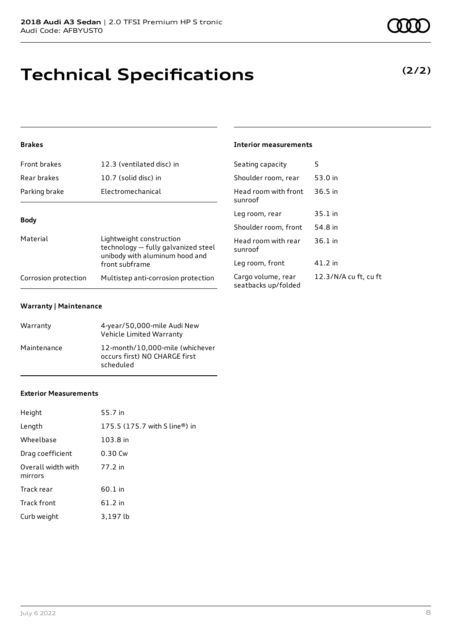# **Technical Specifications**

## **Brakes**

| Front brakes         | 12.3 (ventilated disc) in                                                                         | Seating capacity                       |  |
|----------------------|---------------------------------------------------------------------------------------------------|----------------------------------------|--|
| Rear brakes          | 10.7 (solid disc) in                                                                              | Shoulder room, re                      |  |
| Parking brake        | Electromechanical                                                                                 | Head room with f<br>sunroof            |  |
| <b>Body</b>          |                                                                                                   | Leg room, rear                         |  |
|                      |                                                                                                   |                                        |  |
| Material             | Lightweight construction<br>technology - fully galvanized steel<br>unibody with aluminum hood and | Head room with r<br>sunroof            |  |
|                      | front subframe                                                                                    | Leg room, front                        |  |
| Corrosion protection | Multistep anti-corrosion protection                                                               | Cargo volume, rea<br>seatbacks un/fold |  |

### **Warranty | Maintenance**

| Warranty    | 4-year/50,000-mile Audi New<br>Vehicle Limited Warranty                       |
|-------------|-------------------------------------------------------------------------------|
| Maintenance | 12-month/10,000-mile (whichever<br>occurs first) NO CHARGE first<br>scheduled |

### **Exterior Measurements**

| Height                        | 55.7 in                       |
|-------------------------------|-------------------------------|
| Length                        | 175.5 (175.7 with S line®) in |
| Wheelbase                     | 103.8 in                      |
| Drag coefficient              | 0.30 Cw                       |
| Overall width with<br>mirrors | 77.2 in                       |
| Track rear                    | 60.1 in                       |
| <b>Track front</b>            | $61.2$ in                     |
| Curb weight                   | 3,197 lb                      |

### **Interior measurements**

| Seating capacity                          | 5                     |
|-------------------------------------------|-----------------------|
| Shoulder room, rear                       | 53.0 in               |
| Head room with front<br>sunroof           | $36.5$ in             |
| Leg room, rear                            | 35.1 in               |
| Shoulder room, front                      | 54.8 in               |
| Head room with rear<br>sunroof            | $36.1$ in             |
| Leg room, front                           | 41.2 in               |
| Cargo volume, rear<br>seatbacks up/folded | 12.3/N/A cu ft, cu ft |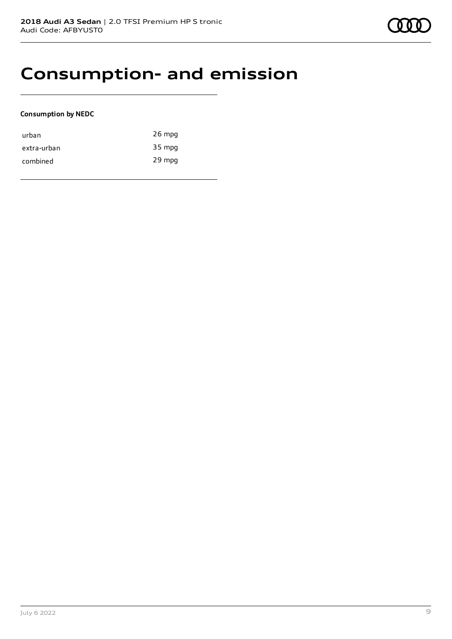## **Consumption- and emission**

## **Consumption by NEDC**

| urban       | $26$ mpg |
|-------------|----------|
| extra-urban | 35 mpg   |
| combined    | 29 mpg   |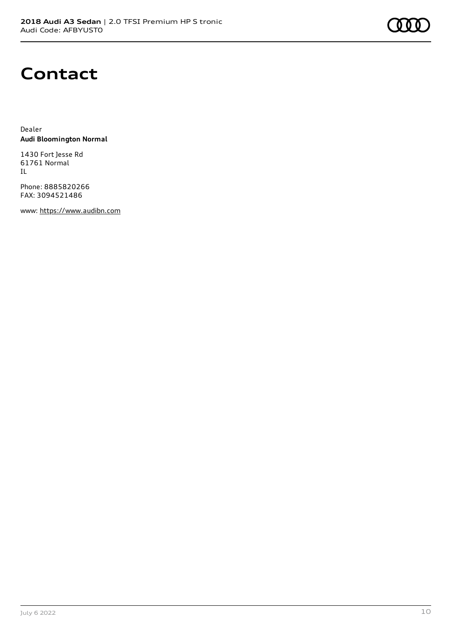## **Contact**

Dealer **Audi Bloomington Normal**

1430 Fort Jesse Rd 61761 Normal IL

Phone: 8885820266 FAX: 3094521486

www: [https://www.audibn.com](https://www.audibn.com/)